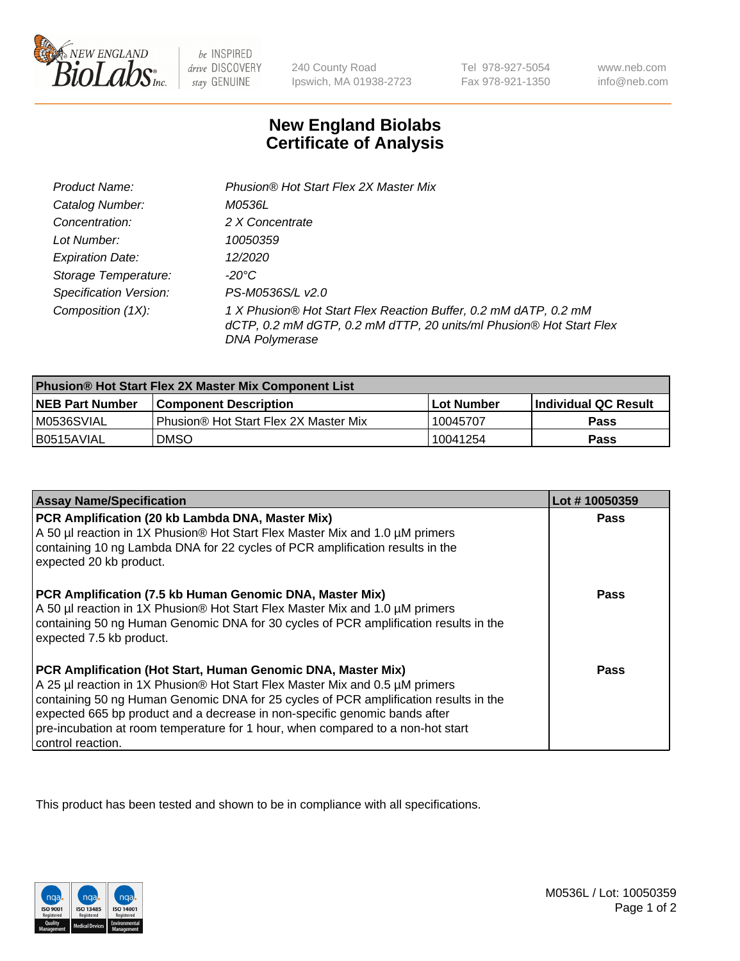

be INSPIRED drive DISCOVERY stay GENUINE

240 County Road Ipswich, MA 01938-2723

Tel 978-927-5054 Fax 978-921-1350

www.neb.com info@neb.com

## **New England Biolabs Certificate of Analysis**

| Product Name:                 | Phusion® Hot Start Flex 2X Master Mix                                                                                                                     |
|-------------------------------|-----------------------------------------------------------------------------------------------------------------------------------------------------------|
| Catalog Number:               | <i>M0536L</i>                                                                                                                                             |
| Concentration:                | 2 X Concentrate                                                                                                                                           |
| Lot Number:                   | 10050359                                                                                                                                                  |
| <b>Expiration Date:</b>       | 12/2020                                                                                                                                                   |
| Storage Temperature:          | -20°C                                                                                                                                                     |
| <b>Specification Version:</b> | PS-M0536S/L v2.0                                                                                                                                          |
| Composition (1X):             | 1 X Phusion® Hot Start Flex Reaction Buffer, 0.2 mM dATP, 0.2 mM<br>dCTP, 0.2 mM dGTP, 0.2 mM dTTP, 20 units/ml Phusion® Hot Start Flex<br>DNA Polymerase |

| <b>Phusion® Hot Start Flex 2X Master Mix Component List</b> |                                              |                   |                      |  |
|-------------------------------------------------------------|----------------------------------------------|-------------------|----------------------|--|
| <b>NEB Part Number</b>                                      | <b>Component Description</b>                 | <b>Lot Number</b> | Individual QC Result |  |
| M0536SVIAL                                                  | <b>Phusion® Hot Start Flex 2X Master Mix</b> | 10045707          | Pass                 |  |
| I B0515AVIAL                                                | <b>DMSO</b>                                  | 10041254          | Pass                 |  |

| <b>Assay Name/Specification</b>                                                                                                                                                                                                                                                                                                                                                                                            | Lot #10050359 |
|----------------------------------------------------------------------------------------------------------------------------------------------------------------------------------------------------------------------------------------------------------------------------------------------------------------------------------------------------------------------------------------------------------------------------|---------------|
| PCR Amplification (20 kb Lambda DNA, Master Mix)<br>A 50 µl reaction in 1X Phusion® Hot Start Flex Master Mix and 1.0 µM primers<br>containing 10 ng Lambda DNA for 22 cycles of PCR amplification results in the<br>expected 20 kb product.                                                                                                                                                                               | <b>Pass</b>   |
| PCR Amplification (7.5 kb Human Genomic DNA, Master Mix)<br>A 50 µl reaction in 1X Phusion® Hot Start Flex Master Mix and 1.0 µM primers<br>containing 50 ng Human Genomic DNA for 30 cycles of PCR amplification results in the<br>expected 7.5 kb product.                                                                                                                                                               | <b>Pass</b>   |
| PCR Amplification (Hot Start, Human Genomic DNA, Master Mix)<br>A 25 µl reaction in 1X Phusion® Hot Start Flex Master Mix and 0.5 µM primers<br>containing 50 ng Human Genomic DNA for 25 cycles of PCR amplification results in the<br>expected 665 bp product and a decrease in non-specific genomic bands after<br>pre-incubation at room temperature for 1 hour, when compared to a non-hot start<br>control reaction. | Pass          |

This product has been tested and shown to be in compliance with all specifications.